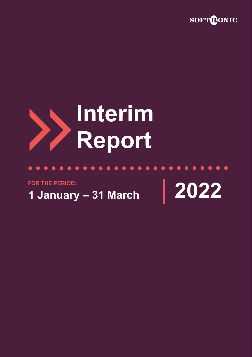

# **Interim Report**

**FOR THE PERIOD:**

**1 January – 31 March 2022**

 $\bullet$ 

 $\bullet\hspace{0.2cm} \bullet\hspace{0.2cm} \bullet\hspace{0.2cm} \bullet\hspace{0.2cm} \bullet\hspace{0.2cm} \bullet\hspace{0.2cm} \bullet\hspace{0.2cm} \bullet$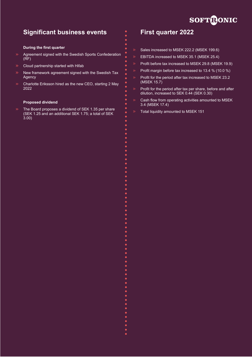

# **Significant business events**

#### **During the first quarter**

- Agreement signed with the Swedish Sports Confederation  $(RF)$
- Cloud partnership started with Hifab
- New framework agreement signed with the Swedish Tax Agency
- Charlotte Eriksson hired as the new CEO, starting 2 May 2022

#### **Proposed dividend**

The Board proposes a dividend of SEK 1.35 per share (SEK 1.25 and an additional SEK 1.75; a total of SEK 3.00)

# **First quarter 2022**

- Sales increased to MSEK 222.2 (MSEK 199.6)
- EBITDA increased to MSEK 35.1 (MSEK 25.4)
- Profit before tax increased to MSEK 29.8 (MSEK 19.9)
- Profit margin before tax increased to 13.4 % (10.0 %)
- Profit for the period after tax increased to MSEK 23.2 (MSEK 15.7)
- Profit for the period after tax per share, before and after dilution, increased to SEK 0.44 (SEK 0.30)
- Cash flow from operating activities amounted to MSEK 3.4 (MSEK 17.4)
- Total liquidity amounted to MSEK 151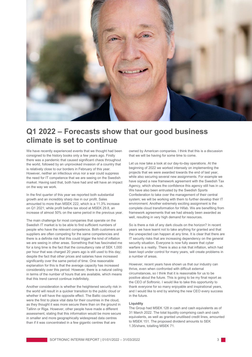

# **Q1 2022 – Forecasts show that our good business climate is set to continue**

We have recently experienced events that we thought had been consigned to the history books only a few years ago. Firstly there was a pandemic that caused significant chaos throughout the world, followed by an unprovoked invasion of a country that is relatively close to our borders in February of this year. However, neither an infectious virus nor a war could suppress the need for IT competence that we are seeing on the Swedish market. Having said that, both have had and will have an impact on the way we work.

In the first quarter of this year we reported both substantial growth and an incredibly sharp rise in our profit. Sales amounted to more than MSEK 222, which is a 11.3% increase on Q1 2021; while profit before tax stood at MSEK 29.8, an increase of almost 50% on the same period in the previous year.

The main challenge for most companies that operate on the Swedish IT market is to be able to find sufficient numbers of people who have the relevant competence. Both customers and suppliers are often competing for the same competencies and there is a definite risk that this could trigger the kind of inflation we are seeing in other areas. Something that has fascinated me for a long time is the fact that the consultancy rate of SEK 1,000 per hour that was charged 20 years ago is still used to this day; despite the fact that other prices and salaries have increased significantly over the same period of time. One reasonable explanation for this is that the average capacity has increased considerably over this period. However, there is a natural ceiling in terms of the number of hours that are available, which means that this trend cannot continue indefinitely.

Another consideration is whether the heightened security risk in the world will result in a quicker transition to the public cloud or whether it will have the opposite effect. The Baltic countries were the first to place vital data for their countries in the cloud, as they thought it was more secure there than on the ground in Tallinn or Riga. However, other people have made a different assessment, stating that this information would be more secure in smaller and more geographically widespread data centres than if it was concentrated in a few gigantic centres that are

owned by American companies. I think that this is a discussion that we will be having for some time to come.

Let us now take a look at our day-to-day operations. At the beginning of 2022 we worked intensely on implementing the projects that we were awarded towards the end of last year, while also securing several new assignments. For example we have signed a new framework agreement with the Swedish Tax Agency, which shows the confidence this agency still has in us. We have also been entrusted by the Swedish Sports Confederation to take over the management of their central system; we will be working with them to further develop their IT environment. Another extremely exciting assignment is the complete cloud transformation for Hifab. We are benefiting from framework agreements that we had already been awarded as well, resulting in very high demand for resources.

So is there a risk of any dark clouds on the horizon? In recent years we have learnt not to take anything for granted and that the unexpected can happen at any time. It is clear that there are IT security risks that are increasing dependency on the general security situation. Everyone is now fully aware that cyber warfare is a reality. There is also a risk that inflation, which had been kept under control for many years, will create problems in a number of areas.

However, recent years have shown us that our industry can thrive, even when confronted with difficult external circumstances, so I think that it is reasonable for us to be positive about the future. This is going to be my final report as the CEO of Softronic. I would like to take this opportunity to thank everyone for so many enjoyable and inspirational years, and I would like to end by wishing the new CEO every success in the future.

#### **Liquidity**

The Group had MSEK 128 in cash and cash equivalents as of 31 March 2022. The total liquidity comprising cash and cash equivalents, as well as granted unutilised credit lines, amounted to MSEK 151. The proposed dividend amounts to SEK 1.35/share, totalling MSEK 71.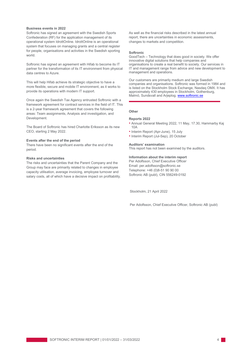#### **Business events in 2022**

Softronic has signed an agreement with the Swedish Sports Confederation (RF) for the application management of its operational system IdrottOnline. IdrottOnline is an operational system that focuses on managing grants and a central register for people, organisations and activities in the Swedish sporting world.

Softronic has signed an agreement with Hifab to become its IT partner for the transformation of its IT environment from physical data centres to Azure.

This will help Hifab achieve its strategic objective to have a more flexible, secure and mobile IT environment, as it works to provide its operations with modern IT support.

Once again the Swedish Tax Agency entrusted Softronic with a framework agreement for contract services in the field of IT. This is a 2-year framework agreement that covers the following areas: Team assignments, Analysis and investigation, and Development.

The Board of Softronic has hired Charlotte Eriksson as its new CEO, starting 2 May 2022.

#### **Events after the end of the period**

There have been no significant events after the end of the period.

#### **Risks and uncertainties**

The risks and uncertainties that the Parent Company and the Group may face are primarily related to changes in employee capacity utilisation, average invoicing, employee turnover and salary costs, all of which have a decisive impact on profitability.

As well as the financial risks described in the latest annual report, there are uncertainties in economic assessments, changes to markets and competition.

#### **Softronic**

GoodTech – Technology that does good in society. We offer innovative digital solutions that help companies and organisations to create a real benefit to society. Our services in IT and management range from advice and new development to management and operations.

Our customers are primarily medium and large Swedish companies and organisations. Softronic was formed in 1984 and is listed on the Stockholm Stock Exchange, Nasdaq OMX. It has approximately 430 employees in Stockholm, Gothenburg, Malmö, Sundsvall and Arjeplog[. www.softronic.se](http://www.softronic.se/)

#### **Other**

#### **Reports 2022**

- Annual General Meeting 2022, 11 May, 17.30, Hammarby Kaj 10A
- Interim Report (Apr-June), 15 July
- Interim Report (Jul-Sep), 20 October

#### **Auditors' examination**

This report has not been examined by the auditors.

#### **Information about the interim report**

Per Adolfsson, Chief Executive Officer Email[: per](mailto:per.adolfsson@softronic.se)[.adolfsson@softronic.se](mailto:.adolfsson@softronic.se) Telephone: +46 (0)8-51 90 90 00 Softronic AB (publ), CIN 556249-0192

Stockholm, 21 April 2022

Per Adolfsson, Chief Executive Officer, Softronic AB (publ)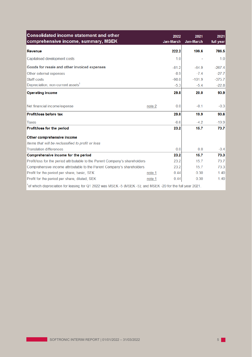| <b>Consolidated income statement and other</b><br>comprehensive income, summary, MSEK                     |        | 2022<br>Jan-March | 2021<br>Jan-March | 2021<br>full year |
|-----------------------------------------------------------------------------------------------------------|--------|-------------------|-------------------|-------------------|
| Revenue                                                                                                   |        | 222.2             | 199.6             | 786.5             |
| Capitalised development costs                                                                             |        | 1.0               |                   | 1.0               |
| Goods for resale and other invoiced expenses                                                              |        | $-81.2$           | $-64.9$           | $-267.4$          |
| Other external expenses                                                                                   |        | $-8.9$            | $-7.4$            | $-27.7$           |
| Staff costs                                                                                               |        | $-98.0$           | $-101.9$          | $-375.7$          |
| Depreciation, non-current assets <sup>1</sup>                                                             |        | $-5.3$            | $-5.4$            | $-22.8$           |
| <b>Operating income</b>                                                                                   |        | 29.8              | 20.0              | 93.9              |
| Net financial income/expense                                                                              | note 2 | 0.0               | $-0.1$            | $-0.3$            |
| Profit/loss before tax                                                                                    |        | 29.8              | 19.9              | 93.6              |
| <b>Taxes</b>                                                                                              |        | $-6.6$            | $-4.2$            | $-19.9$           |
| Profit/loss for the period                                                                                |        | 23.2              | 15.7              | 73.7              |
| Other comprehensive income                                                                                |        |                   |                   |                   |
| Items that will be reclassified to profit or loss                                                         |        |                   |                   |                   |
| <b>Translation differences</b>                                                                            |        | 0.0               | 0.0               | $-0.4$            |
| Comprehensive income for the period                                                                       |        | 23.2              | 15.7              | 73.3              |
| Profit/loss for the period attributable to the Parent Company's shareholders                              |        | 23.2              | 15.7              | 73.7              |
| Comprehensive income attributable to the Parent Company's shareholders                                    |        | 23.2              | 15.7              | 73.3              |
| Profit for the period per share, basic, SEK                                                               | note 1 | 0.44              | 0.30              | 1.40              |
| Profit for the period per share, diluted, SEK                                                             | note 1 | 0.44              | 0.30              | 1.40              |
| of which depreciation for leasing for Q1 2022 was MSEK -5 (MSEK -5); and MSEK -20 for the full year 2021. |        |                   |                   |                   |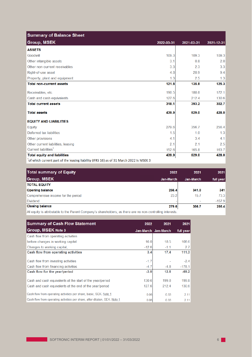| <b>Summary of Balance Sheet</b>                                                             |            |            |            |
|---------------------------------------------------------------------------------------------|------------|------------|------------|
| <b>Group, MSEK</b>                                                                          | 2022-03-31 | 2021-03-31 | 2021-12-31 |
| <b>ASSETS</b>                                                                               |            |            |            |
| Goodwill                                                                                    | 109.3      | 109.3      | 109.3      |
| Other intangible assets                                                                     | 3.1        | 0.8        | 2.0        |
| Other non-current receivables                                                               | 3.3        | 2.3        | 3.3        |
| Right-of-use asset                                                                          | 4.8        | 20.9       | 9.4        |
| Property, plant and equipment                                                               | 1.3        | 2.5        | 1.3        |
| <b>Total non-current assets</b>                                                             | 121.8      | 135.8      | 125.3      |
| Receivables, etc.                                                                           | 190.5      | 180.8      | 172.1      |
| Cash and cash equivalents                                                                   | 127.6      | 212.4      | 130.6      |
| <b>Total current assets</b>                                                                 | 318.1      | 393.2      | 302.7      |
| <b>Total assets</b>                                                                         | 439.9      | 529.0      | 428.0      |
| <b>EQUITY AND LIABILITIES</b>                                                               |            |            |            |
| Equity                                                                                      | 279.6      | 356.7      | 256.4      |
| Deferred tax liabilities                                                                    | 1.5        | 1.0        | 1.3        |
| Other provisions                                                                            | 4.1        | 3.4        | 4.1        |
| Other current liabilities, leasing                                                          | 2.1        | 2.1        | 2.5        |
| Current liabilities <sup>1</sup>                                                            | 152.6      | 165.8      | 163.7      |
| <b>Total equity and liabilities</b>                                                         | 439.9      | 529.0      | 428.0      |
| $^1$ of which current part of the leasing liability (IFRS 16) as of 31 March 2022 is MSEK 3 |            |            |            |

| <b>Total summary of Equity</b>      | 2022                     | 2021                     | 2021      |
|-------------------------------------|--------------------------|--------------------------|-----------|
| Group, MSEK                         | Jan-March                | Jan-March                | full year |
| <b>TOTAL EQUITY</b>                 |                          |                          |           |
| <b>Opening balance</b>              | 256.4                    | 341.0                    | 341       |
| Comprehensive income for the period | 23.2                     | 15.7                     | 73.3      |
| <b>Dividend</b>                     | $\overline{\phantom{a}}$ | $\overline{\phantom{0}}$ | $-157.9$  |
| <b>Closing balance</b>              | 279.6                    | 356.7                    | 256.4     |

All equity is attributable to the Parent Company's shareholders, as there are no non-controlling interests.

| <b>Summary of Cash Flow Statement</b>                                      | 2022    | 2021                | 2021      |
|----------------------------------------------------------------------------|---------|---------------------|-----------|
| <b>Group, MSEK Note 3</b>                                                  |         | Jan-March Jan-March | full year |
| Cash flow from operating activities                                        |         |                     |           |
| before changes in working capital                                          | 16.0    | 18.5                | 108.6     |
| Changes to working capital.                                                | $-12.6$ | $-1.1$              | 2.7       |
| Cash flow from operating activities                                        | 3.4     | 17.4                | 111.3     |
| Cash flow from investing activities                                        | $-1.7$  |                     | $-2.4$    |
| Cash flow from financing activities                                        | $-4.7$  | $-4.8$              | $-178.1$  |
| Cash flow for the year/period                                              | $-3.0$  | 12.6                | $-69.2$   |
| Cash and cash equivalents at the start of the year/period                  | 130.6   | 199.8               | 199.8     |
| Cash and cash equivalents at the end of the year/period                    | 127.6   | 212.4               | 130.6     |
| Cash flow from operating activities per share, basic, SEK. Note 1          | 0.06    | 0.33                | 2.11      |
| Cash flow from operating activities per share, after dilution, SEK. Note 1 | 0.06    | 0.33                | 2.11      |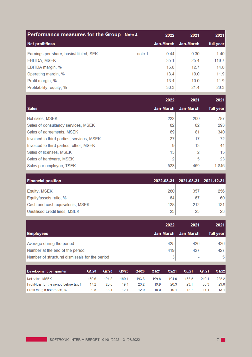| <b>Performance measures for the Group, Note 4</b> |           | 2022      | 2021      | 2021  |
|---------------------------------------------------|-----------|-----------|-----------|-------|
| Net profit/loss                                   | Jan-March | Jan-March | full year |       |
| Earnings per share, basic/diluted, SEK            | note 1    | 0.44      | 0.30      | 1.40  |
| <b>EBITDA, MSEK</b>                               |           | 35.1      | 25.4      | 116.7 |
| EBITDA margin, %                                  |           | 15.8      | 127       | 14.8  |
| Operating margin, %                               |           | 13.4      | 10.0      | 11.9  |
| Profit margin, %                                  |           | 13.4      | 10.0      | 11.9  |
| Profitability, equity, %                          |           | 30.3      | 21.4      | 26.3  |

|                                           | 2022      | 2021      | 2021            |
|-------------------------------------------|-----------|-----------|-----------------|
| Sales                                     | Jan-March | Jan-March | full year       |
| Net sales, MSEK                           | 222       | 200       | 787             |
| Sales of consultancy services, MSEK       | 82        | 82        | 293             |
| Sales of agreements, MSEK                 | 89        | 81        | 340             |
| Invoiced to third parties, services, MSEK | 27        | 17        | 72              |
| Invoiced to third parties, other, MSEK    |           | 13        | 44              |
| Sales of licenses, MSEK                   | 13        | 2         | 15 <sup>1</sup> |
| Sales of hardware, MSEK                   |           | 5         | 23              |
| Sales per employee, TSEK                  | 523       | 469       | 1846            |

| <b>Financial position</b>       |     | 2022-03-31 2021-03-31 2021-12-31 |     |
|---------------------------------|-----|----------------------------------|-----|
| <b>Equity, MSEK</b>             | 280 | 357                              | 256 |
| Equity/assets ratio, %          | 64  | 67                               | 60  |
| Cash and cash equivalents, MSEK | 128 | 212                              | 131 |
| Unutilised credit lines, MSEK   | 23  | 23                               | 23  |

|                                                | 2022      | 2021      | 2021      |
|------------------------------------------------|-----------|-----------|-----------|
| <b>Employees</b>                               | Jan-March | Jan-March | full year |
| Average during the period                      | 425       | 426       | 426       |
| Number at the end of the period                | 419       | 427       | 427       |
| Number of structural dismissals for the period | 3         | ۰         | 5         |

| Development per quarter                  | Q1/20 | Q2/20 | Q3/20 | Q4/20 | Q1/21 | Q2/21 | Q3/21 | Q4/21 | Q1/22 |
|------------------------------------------|-------|-------|-------|-------|-------|-------|-------|-------|-------|
| Net sales, MSEK                          | 180.6 | 194.5 | 160.1 | 193.3 | 199.6 | 194.6 | 182.2 | 210.1 | 222.2 |
| Profit/loss for the period before tax, I | 17.2  | 26.0  | 19.4  | 23.2  | 19.9  | 20.3  | 23.1  | 30.3  | 29.8  |
| Profit margin before tax, %              | 9.5   | 134   | 121   | 12.0  | 10.0  | 10.4  | 12.7  | 14.4  | 13.4  |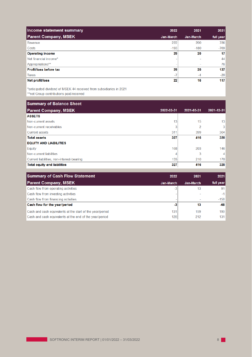| Income statement summary    | 2022      | 2021      | 2021      |
|-----------------------------|-----------|-----------|-----------|
| <b>Parent Company, MSEK</b> | Jan-March | Jan-March | full year |
| Revenue                     | 222       | 200       | 786       |
| Costs                       | $-193$    | $-180$    | $-769$    |
| <b>Operating income</b>     | 29        | 20        | 17        |
| Net financial income*       |           |           | 44        |
| Appropriations**            |           |           | 76        |
| Profit/loss before tax      | 29        | 20        | 137       |
| <b>Taxes</b>                | $-7$      | $-4$      | $-20$     |
| Net profit/loss             | 22        | 16        | 117       |

\*anticipated dividend of MSEK 44 received from subsidiaries in 2021

\*\*net Group contributions paid/received

| <b>Summary of Balance Sheet</b>           |                 |            |                 |
|-------------------------------------------|-----------------|------------|-----------------|
| <b>Parent Company, MSEK</b>               | 2022-03-31      | 2021-03-31 | 2021-12-31      |
| <b>ASSETS</b>                             |                 |            |                 |
| Non-current assets                        | 13 <sub>1</sub> | 15         | 13 <sup>1</sup> |
| Non-current receivables                   | 3               | 2          | $\vert$ 3       |
| <b>Current assets</b>                     | 311             | 399        | 304             |
| <b>Total assets</b>                       | 327             | 416        | 320             |
| <b>EQUITY AND LIABILITIES</b>             |                 |            |                 |
| Equity                                    | 168             | 203        | 146             |
| Non-current liabilities                   |                 | 3          | $\vert$         |
| Current liabilities, non-interest-bearing | 155             | 210        | 170             |
| <b>Total equity and liabilities</b>       | 327             | 416        | 320             |

| <b>Summary of Cash Flow Statement</b>                     | 2022      | 2021      | 2021      |
|-----------------------------------------------------------|-----------|-----------|-----------|
| <b>Parent Company, MSEK</b>                               | Jan-March | Jan-March | full year |
| Cash flow from operating activities                       | $-3$      | 13        | 91        |
| Cash flow from investing activities                       |           |           | $-1$      |
| Cash flow from financing activities                       |           |           | $-158$    |
| Cash flow for the year/period                             | $-3$      | 13        | $-68$     |
| Cash and cash equivalents at the start of the year/period | 1311      | 199       | 199       |
| Cash and cash equivalents at the end of the year/period   | 128       | 212       | 131       |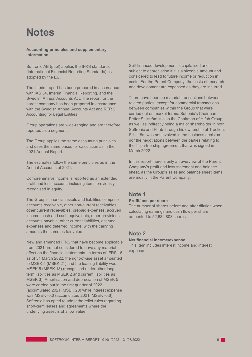# **Notes**

#### **Accounting principles and supplementary information**

Softronic AB (publ) applies the IFRS standards (International Financial Reporting Standards) as adopted by the EU.

The interim report has been prepared in accordance with IAS 34, Interim Financial Reporting, and the Swedish Annual Accounts Act. The report for the parent company has been prepared in accordance with the Swedish Annual Accounts Act and RFR 2, Accounting for Legal Entities.

Group operations are wide-ranging and are therefore reported as a segment.

The Group applies the same accounting principles and uses the same bases for calculation as in the 2021 Annual Report.

The estimates follow the same principles as in the Annual Accounts of 2021.

Comprehensive income is reported as an extended profit and loss account, including items previously recognised in equity.

The Group's financial assets and liabilities comprise accounts receivable, other non-current receivables, other current receivables, prepaid expenses, accrued income, cash and cash equivalents, other provisions, accounts payable, other current liabilities, accrued expenses and deferred income, with the carrying amounts the same as fair value.

New and amended IFRS that have become applicable from 2021 are not considered to have any material effect on the financial statements. In terms of IFRS 16 as of 31 March 2022, the right-of-use asset amounted to MSEK 5 (MSEK 21) and the leasing liability was MSEK 5 (MSEK 18) (recognised under other longterm liabilities as MSEK 2 and current liabilities as MSEK 3). Amortisation and depreciation of MSEK 5 were carried out in the first quarter of 2022 (accumulated 2021: MSEK 20) while interest expense was MSEK -0.0 (accumulated 2021: MSEK -0.6). Softronic has opted to adopt the relief rules regarding short-term leases and agreements where the underlying asset is of a low value.

Self-financed development is capitalised and is subject to depreciation if it is a sizeable amount and considered to lead to future income or reduction in costs. For the Parent Company, the costs of research and development are expensed as they are incurred.

There have been no material transactions between related parties, except for commercial transactions between companies within the Group that were carried out on market terms. Softonic's Chairman Petter Stillström is also the Chairman of Hifab Group, as well as indirectly being a major shareholder in both Softronic and Hifab through his ownership of Traction. Stillström was not involved in the business decision nor the negotiations between the parties relating to the IT partnership agreement that was signed in March 2022.

In this report there is only an overview of the Parent Company's profit and loss statement and balance sheet, as the Group's sales and balance sheet items are mostly in the Parent Company.

## **Note 1**

#### **Profit/loss per share**

The number of shares before and after dilution when calculating earnings and cash flow per share amounted to 52,632,803 shares.

## **Note 2**

#### **Net financial income/expense**

This item includes interest income and interest expense.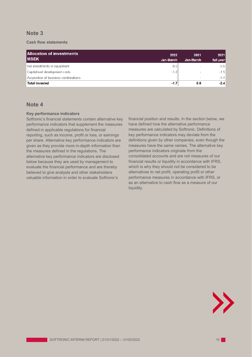# **Note 3**

#### **Cash flow statements**

| <b>Allocation of investments</b><br><b>IMSEK</b> | 2022<br>Jan-March | 2021<br>Jan-March        | 2021<br>full year |
|--------------------------------------------------|-------------------|--------------------------|-------------------|
| Net investments in equipment                     | $-0.5$            |                          | $-0.5$            |
| Capitalised development costs                    | $-1.2$            |                          | $-1.5$            |
| Acquisition of business combinations             | -                 | $\overline{\phantom{a}}$ | $-0.4$            |
| <b>Total invested</b>                            | $-1.7$            | 0.0                      | $-2.4$            |

# **Note 4**

#### **Key performance indicators**

Softronic's financial statements contain alternative key performance indicators that supplement the measures defined in applicable regulations for financial reporting, such as income, profit or loss, or earnings per share. Alternative key performance indicators are given as they provide more in-depth information than the measures defined in the regulations. The alternative key performance indicators are disclosed below because they are used by management to evaluate the financial performance and are thereby believed to give analysts and other stakeholders valuable information in order to evaluate Softronic's

financial position and results. In the section below, we have defined how the alternative performance measures are calculated by Softronic. Definitions of key performance indicators may deviate from the definitions given by other companies, even though the measures have the same names. The alternative key performance indicators originate from the consolidated accounts and are not measures of our financial results or liquidity in accordance with IFRS, which is why they should not be considered to be alternatives to net profit, operating profit or other performance measures in accordance with IFRS, or as an alternative to cash flow as a measure of our liquidity.

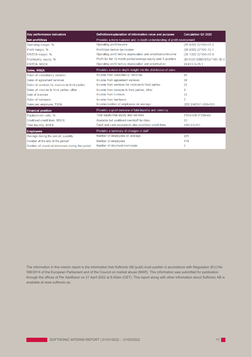| <b>Key performance indicators</b>                 | Definition/explanation of information value and purpose                  | <b>Calculation Q1 2022</b>      |  |
|---------------------------------------------------|--------------------------------------------------------------------------|---------------------------------|--|
| <b>Net profit/loss</b>                            | Provides a more nuanced and in-depth understanding of profit development |                                 |  |
| Operating margin, %                               | Operating profit/income                                                  | (29.8/222.2)*100=13.4           |  |
| Profit margin, %                                  | Profit/loss before tax/income                                            | (29.8/222.2)*100=13.4           |  |
| EBITDA margin, %                                  | Operating profit before depreciation and amortisation/income             | $(35.1/222.2)*100=15.8$         |  |
| Profitability, equity, %                          | Profit for the 12-month period/average equity over 5 quarters            | $(81133/(1339676/5))$ *100=30.3 |  |
| <b>EBITDA, MSEK</b>                               | Operating profit before depreciation and amortisation                    | $29.8 + 5.3 = 35.1$             |  |
| Sales, MSEK                                       | Provides a more in-depth insight into the distribution of sales          |                                 |  |
| Sales of consultancy services                     | Income from consultancy services                                         | 82                              |  |
| Sales of agreement services                       | Income from agreement services                                           | 89                              |  |
| Sales of services for invoices to third parties   | Income from services for invoices to third parties                       | 27                              |  |
| Sales of invoices to third parties, other         | Income from invoices to third parties, other                             | 9                               |  |
| Sale of licences                                  | Income from licences                                                     | 13                              |  |
| Sales of hardware                                 | Income from hardware                                                     | $\overline{2}$                  |  |
| Sales per employee, TSEK                          | Income/number of employees on average                                    | (222.2/425)*1,000=523           |  |
| <b>Financial position</b>                         | Provides a good overview of total liquidity and solvency                 |                                 |  |
| Equity/assets ratio, %                            | Total equity/total equity and liabilities                                | 279.6/439,9*100=64              |  |
| Unutilised credit lines, MSEK                     | Available but unutilised overdraft facilities                            | 23                              |  |
| <b>Total liquidity, MSEK</b>                      | Cash and cash equivalents plus unutilised credit lines                   | $128+23=151$                    |  |
| <b>Employees</b>                                  | Provides a summary of changes in staff                                   |                                 |  |
| Average during the period, quantity               | Number of employees on average                                           | 425                             |  |
| Number at the end of the period                   | Number of employees                                                      | 419                             |  |
| Number of structural dismissals during the period | Number of structural dismissals                                          | 3                               |  |

The information in this interim report is the information that Softronic AB (publ) must publish in accordance with Regulation (EU) No 596/2014 of the European Parliament and of the Council on market abuse (MAR). This information was submitted for publication through the offices of Per Adolfsson on 21 April 2022 at 8.00am (CET). This report along with other information about Softronic AB is available at [www.softronic.se.](http://www.softronic.se/)